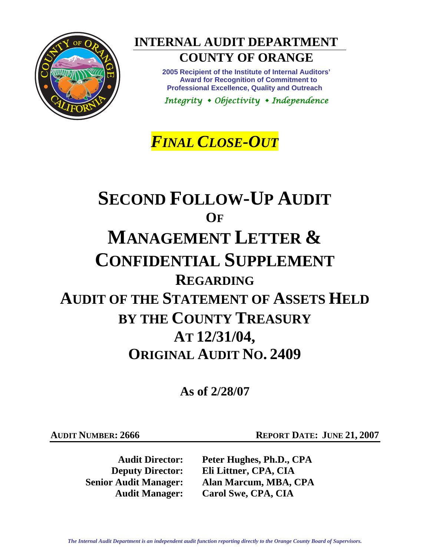

**INTERNAL AUDIT DEPARTMENT COUNTY OF ORANGE** 

> **2005 Recipient of the Institute of Internal Auditors' Award for Recognition of Commitment to Professional Excellence, Quality and Outreach**

*Integrity Objectivity Independence* 

*FINAL CLOSE-OUT*

# **SECOND FOLLOW-UP AUDIT OF MANAGEMENT LETTER & CONFIDENTIAL SUPPLEMENT REGARDING AUDIT OF THE STATEMENT OF ASSETS HELD BY THE COUNTY TREASURY AT 12/31/04, ORIGINAL AUDIT NO. 2409**

**As of 2/28/07** 

**AUDIT NUMBER: 2666 REPORT DATE: JUNE 21, 2007** 

**Audit Director: Peter Hughes, Ph.D., CPA Deputy Director: Eli Littner, CPA, CIA Senior Audit Manager: Alan Marcum, MBA, CPA Audit Manager: Carol Swe, CPA, CIA**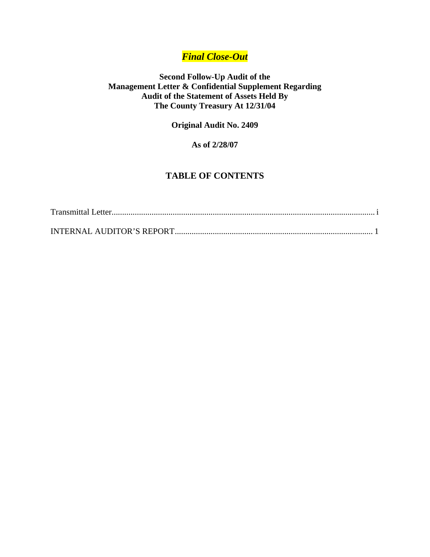# *Final Close-Out*

## **Second Follow-Up Audit of the Management Letter & Confidential Supplement Regarding Audit of the Statement of Assets Held By The County Treasury At 12/31/04**

**Original Audit No. 2409** 

## **As of 2/28/07**

# **TABLE OF CONTENTS**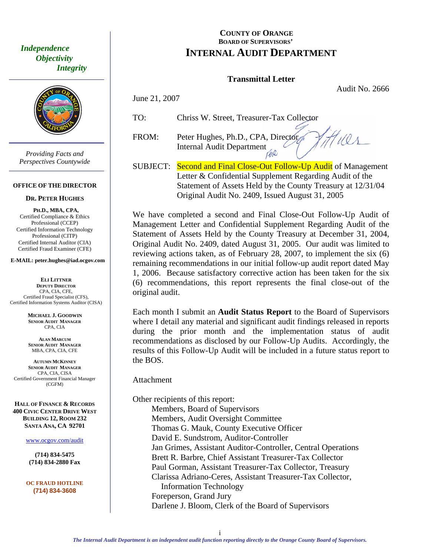<span id="page-2-0"></span> *Independence Objectivity Integrity* 



*Providing Facts and Perspectives Countywide* 

#### **OFFICE OF THE DIRECTOR**

#### **DR. PETER HUGHES**

**PH.D., MBA, CPA,**  Certified Compliance & Ethics Professional (CCEP) Certified Information Technology Professional (CITP) Certified Internal Auditor (CIA) Certified Fraud Examiner (CFE)

#### **E-MAIL: peter.hughes@iad.ocgov.com**

**ELI LITTNER DEPUTY DIRECTOR** CPA, CIA, CFE, Certified Fraud Specialist (CFS), Certified Information Systems Auditor (CISA)

> **MICHAEL J. GOODWIN SENIOR AUDIT MANAGER** CPA, CIA

**ALAN MARCUM SENIOR AUDIT MANAGER** MBA, CPA, CIA, CFE

**AUTUMN MCKINNEY SENIOR AUDIT MANAGER** CPA, CIA, CISA Certified Government Financial Manager (CGFM)

**HALL OF FINANCE & RECORDS 400 CIVIC CENTER DRIVE WEST BUILDING 12, ROOM 232 SANTA ANA, CA 92701** 

www.ocgov.com/audit

**(714) 834-5475 (714) 834-2880 Fax** 

**OC FRAUD HOTLINE (714) 834-3608** 

## **COUNTY OF ORANGE BOARD OF SUPERVISORS' INTERNAL AUDIT DEPARTMENT**

## **Transmittal Letter**

Audit No. 2666

Wes

June 21, 2007

TO: Chriss W. Street, Treasurer-Tax Collector

FROM: Peter Hughes, Ph.D., CPA, Director Internal Audit Department

SUBJECT: Second and Final Close-Out Follow-Up Audit of Management Letter & Confidential Supplement Regarding Audit of the Statement of Assets Held by the County Treasury at 12/31/04 Original Audit No. 2409, Issued August 31, 2005

We have completed a second and Final Close-Out Follow-Up Audit of Management Letter and Confidential Supplement Regarding Audit of the Statement of Assets Held by the County Treasury at December 31, 2004, Original Audit No. 2409, dated August 31, 2005. Our audit was limited to reviewing actions taken, as of February 28, 2007, to implement the six (6) remaining recommendations in our initial follow-up audit report dated May 1, 2006. Because satisfactory corrective action has been taken for the six (6) recommendations, this report represents the final close-out of the original audit.

Each month I submit an **Audit Status Report** to the Board of Supervisors where I detail any material and significant audit findings released in reports during the prior month and the implementation status of audit recommendations as disclosed by our Follow-Up Audits. Accordingly, the results of this Follow-Up Audit will be included in a future status report to the BOS.

Attachment

Other recipients of this report: Members, Board of Supervisors Members, Audit Oversight Committee Thomas G. Mauk, County Executive Officer David E. Sundstrom, Auditor-Controller Jan Grimes, Assistant Auditor-Controller, Central Operations Brett R. Barbre, Chief Assistant Treasurer-Tax Collector Paul Gorman, Assistant Treasurer-Tax Collector, Treasury Clarissa Adriano-Ceres, Assistant Treasurer-Tax Collector, Information Technology Foreperson, Grand Jury Darlene J. Bloom, Clerk of the Board of Supervisors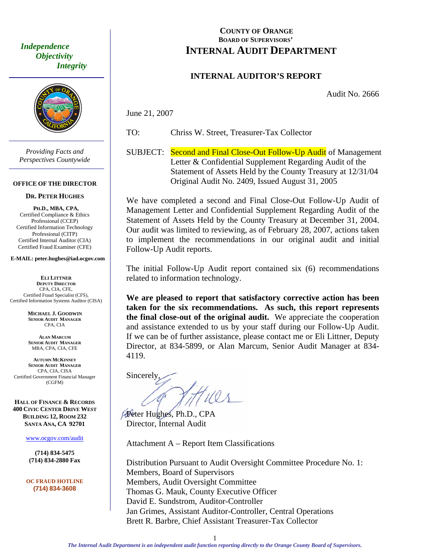<span id="page-3-0"></span> *Independence Objectivity Integrity* 



*Providing Facts and Perspectives Countywide* 

#### **OFFICE OF THE DIRECTOR**

#### **DR. PETER HUGHES**

**PH.D., MBA, CPA,**  Certified Compliance & Ethics Professional (CCEP) Certified Information Technology Professional (CITP) Certified Internal Auditor (CIA) Certified Fraud Examiner (CFE)

#### **E-MAIL: peter.hughes@iad.ocgov.com**

**ELI LITTNER DEPUTY DIRECTOR** CPA, CIA, CFE, Certified Fraud Specialist (CFS), Certified Information Systems Auditor (CISA)

> **MICHAEL J. GOODWIN SENIOR AUDIT MANAGER** CPA, CIA

**ALAN MARCUM SENIOR AUDIT MANAGER** MBA, CPA, CIA, CFE

**AUTUMN MCKINNEY SENIOR AUDIT MANAGER** CPA, CIA, CISA Certified Government Financial Manager (CGFM)

**HALL OF FINANCE & RECORDS 400 CIVIC CENTER DRIVE WEST BUILDING 12, ROOM 232 SANTA ANA, CA 92701** 

www.ocgov.com/audit

**(714) 834-5475 (714) 834-2880 Fax** 

**OC FRAUD HOTLINE (714) 834-3608** 

## **COUNTY OF ORANGE BOARD OF SUPERVISORS' INTERNAL AUDIT DEPARTMENT**

### **INTERNAL AUDITOR'S REPORT**

Audit No. 2666

June 21, 2007

TO: Chriss W. Street, Treasurer-Tax Collector

SUBJECT: Second and Final Close-Out Follow-Up Audit of Management Letter & Confidential Supplement Regarding Audit of the Statement of Assets Held by the County Treasury at 12/31/04 Original Audit No. 2409, Issued August 31, 2005

We have completed a second and Final Close-Out Follow-Up Audit of Management Letter and Confidential Supplement Regarding Audit of the Statement of Assets Held by the County Treasury at December 31, 2004. Our audit was limited to reviewing, as of February 28, 2007, actions taken to implement the recommendations in our original audit and initial Follow-Up Audit reports.

The initial Follow-Up Audit report contained six (6) recommendations related to information technology.

**We are pleased to report that satisfactory corrective action has been taken for the six recommendations. As such, this report represents the final close-out of the original audit.** We appreciate the cooperation and assistance extended to us by your staff during our Follow-Up Audit. If we can be of further assistance, please contact me or Eli Littner, Deputy Director, at 834-5899, or Alan Marcum, Senior Audit Manager at 834- 4119.

**Sincerely** 

Peter Hughes, Ph.D., CPA Director, Internal Audit

Attachment A – Report Item Classifications

Distribution Pursuant to Audit Oversight Committee Procedure No. 1: Members, Board of Supervisors Members, Audit Oversight Committee Thomas G. Mauk, County Executive Officer David E. Sundstrom, Auditor-Controller Jan Grimes, Assistant Auditor-Controller, Central Operations Brett R. Barbre, Chief Assistant Treasurer-Tax Collector

1